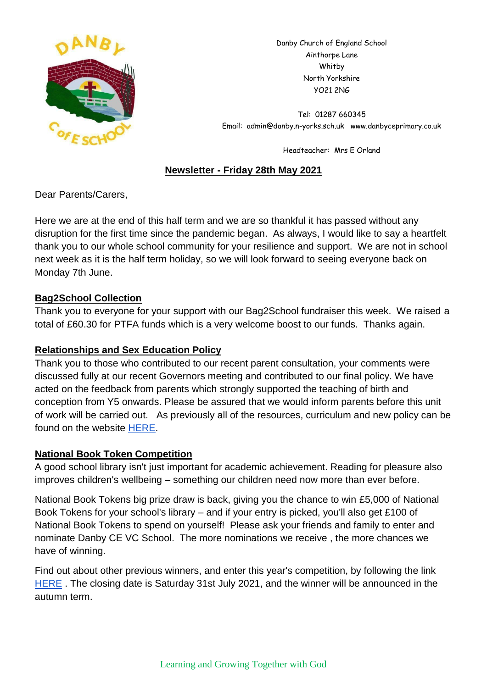

Danby Church of England School Ainthorpe Lane Whitby North Yorkshire YO21 2NG

Tel: 01287 660345 Email: admin@danby.n-yorks.sch.uk www.danbyceprimary.co.uk

Headteacher: Mrs E Orland

# **Newsletter - Friday 28th May 2021**

Dear Parents/Carers,

Here we are at the end of this half term and we are so thankful it has passed without any disruption for the first time since the pandemic began. As always, I would like to say a heartfelt thank you to our whole school community for your resilience and support. We are not in school next week as it is the half term holiday, so we will look forward to seeing everyone back on Monday 7th June.

### **Bag2School Collection**

Thank you to everyone for your support with our Bag2School fundraiser this week. We raised a total of £60.30 for PTFA funds which is a very welcome boost to our funds. Thanks again.

### **Relationships and Sex Education Policy**

Thank you to those who contributed to our recent parent consultation, your comments were discussed fully at our recent Governors meeting and contributed to our final policy. We have acted on the feedback from parents which strongly supported the teaching of birth and conception from Y5 onwards. Please be assured that we would inform parents before this unit of work will be carried out. As previously all of the resources, curriculum and new policy can be found on the website [HERE.](https://www.danbyceprimary.co.uk/information-and-newsletters/relationships-education/)

### **National Book Token Competition**

A good school library isn't just important for academic achievement. Reading for pleasure also improves children's wellbeing – something our children need now more than ever before.

National Book Tokens big prize draw is back, giving you the chance to win £5,000 of National Book Tokens for your school's library – and if your entry is picked, you'll also get £100 of National Book Tokens to spend on yourself! Please ask your friends and family to enter and nominate Danby CE VC School. The more nominations we receive , the more chances we have of winning.

Find out about other previous winners, and enter this year's competition, by following the link [HERE](https://www.nationalbooktokens.com/schools?utm_source=facebook&utm_medium=social&utm_content=schools-organic&utm_campaign=schools-organic&fbclid=IwAR2wrH3-zLOOg3aGfchym7bpGggiDBaassbxFeZ_3npCdUAnWpDEzcUTc8w) . The closing date is Saturday 31st July 2021, and the winner will be announced in the autumn term.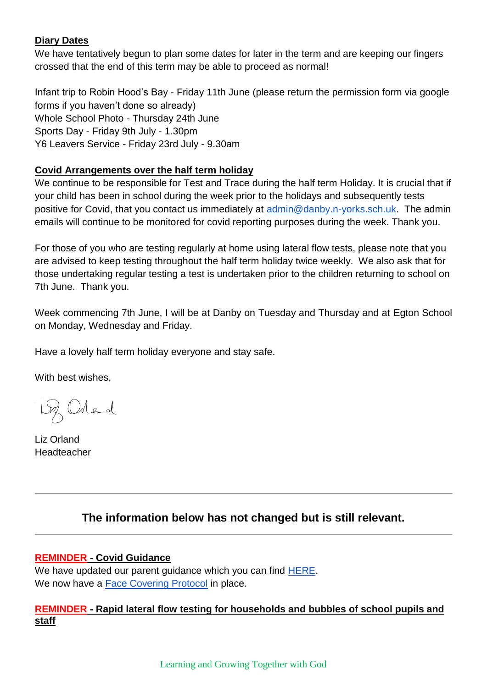### **Diary Dates**

We have tentatively begun to plan some dates for later in the term and are keeping our fingers crossed that the end of this term may be able to proceed as normal!

Infant trip to Robin Hood's Bay - Friday 11th June (please return the permission form via google forms if you haven't done so already) Whole School Photo - Thursday 24th June Sports Day - Friday 9th July - 1.30pm Y6 Leavers Service - Friday 23rd July - 9.30am

# **Covid Arrangements over the half term holiday**

We continue to be responsible for Test and Trace during the half term Holiday. It is crucial that if your child has been in school during the week prior to the holidays and subsequently tests positive for Covid, that you contact us immediately at [admin@danby.n-yorks.sch.uk.](mailto:admin@danby.n-yorks.sch.uk) The admin emails will continue to be monitored for covid reporting purposes during the week. Thank you.

For those of you who are testing regularly at home using lateral flow tests, please note that you are advised to keep testing throughout the half term holiday twice weekly. We also ask that for those undertaking regular testing a test is undertaken prior to the children returning to school on 7th June. Thank you.

Week commencing 7th June, I will be at Danby on Tuesday and Thursday and at Egton School on Monday, Wednesday and Friday.

Have a lovely half term holiday everyone and stay safe.

With best wishes,

2 Orland

Liz Orland **Headteacher** 

# **The information below has not changed but is still relevant.**

### **REMINDER - Covid Guidance**

We have updated our parent guidance which you can find [HERE.](https://d3hgrlq6yacptf.cloudfront.net/5f44f9be5d40b/content/pages/documents/danby-updated-parent-guidance-march-2021.pdf) We now have a [Face Covering Protocol](https://d3hgrlq6yacptf.cloudfront.net/5f44f9be5d40b/content/pages/documents/face-mask-protocol-for-danby-and-egton-primary-schools.pdf) in place.

### **REMINDER - Rapid lateral flow testing for households and bubbles of school pupils and staff**